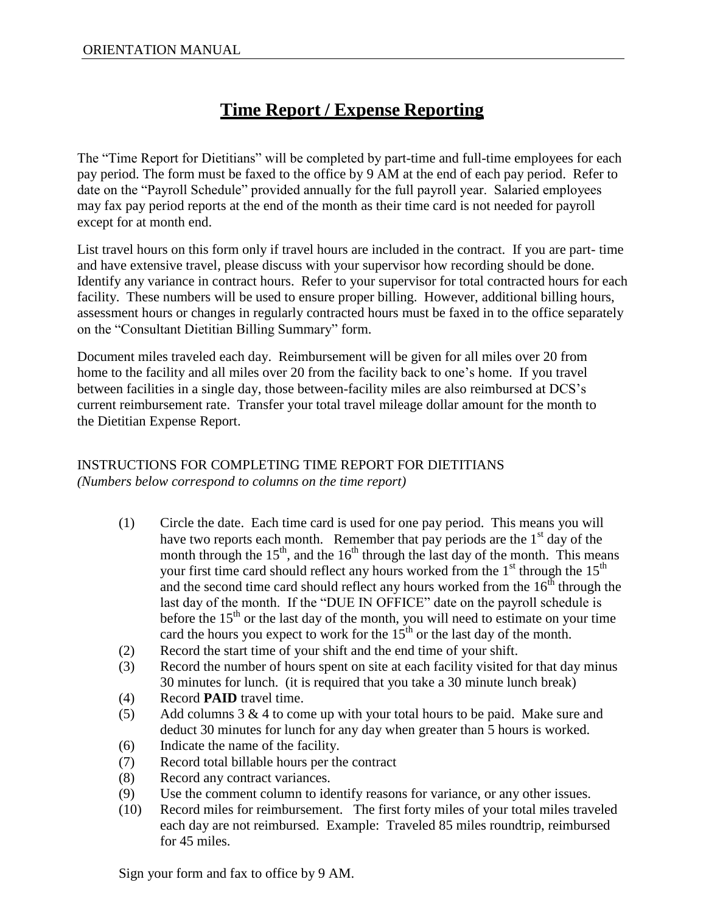## **Time Report / Expense Reporting**

The "Time Report for Dietitians" will be completed by part-time and full-time employees for each pay period. The form must be faxed to the office by 9 AM at the end of each pay period. Refer to date on the "Payroll Schedule" provided annually for the full payroll year. Salaried employees may fax pay period reports at the end of the month as their time card is not needed for payroll except for at month end.

List travel hours on this form only if travel hours are included in the contract. If you are part- time and have extensive travel, please discuss with your supervisor how recording should be done. Identify any variance in contract hours. Refer to your supervisor for total contracted hours for each facility. These numbers will be used to ensure proper billing. However, additional billing hours, assessment hours or changes in regularly contracted hours must be faxed in to the office separately on the "Consultant Dietitian Billing Summary" form.

Document miles traveled each day. Reimbursement will be given for all miles over 20 from home to the facility and all miles over 20 from the facility back to one's home. If you travel between facilities in a single day, those between-facility miles are also reimbursed at DCS's current reimbursement rate. Transfer your total travel mileage dollar amount for the month to the Dietitian Expense Report.

## INSTRUCTIONS FOR COMPLETING TIME REPORT FOR DIETITIANS *(Numbers below correspond to columns on the time report)*

- (1) Circle the date. Each time card is used for one pay period. This means you will have two reports each month. Remember that pay periods are the  $1<sup>st</sup>$  day of the month through the  $15<sup>th</sup>$ , and the  $16<sup>th</sup>$  through the last day of the month. This means your first time card should reflect any hours worked from the  $1<sup>st</sup>$  through the  $15<sup>th</sup>$ and the second time card should reflect any hours worked from the  $16<sup>th</sup>$  through the last day of the month. If the "DUE IN OFFICE" date on the payroll schedule is before the  $15<sup>th</sup>$  or the last day of the month, you will need to estimate on your time card the hours you expect to work for the  $15<sup>th</sup>$  or the last day of the month.
- (2) Record the start time of your shift and the end time of your shift.
- (3) Record the number of hours spent on site at each facility visited for that day minus 30 minutes for lunch. (it is required that you take a 30 minute lunch break)
- (4) Record **PAID** travel time.
- (5) Add columns  $3 \& 4$  to come up with your total hours to be paid. Make sure and deduct 30 minutes for lunch for any day when greater than 5 hours is worked.
- (6) Indicate the name of the facility.
- (7) Record total billable hours per the contract
- (8) Record any contract variances.
- (9) Use the comment column to identify reasons for variance, or any other issues.
- (10) Record miles for reimbursement. The first forty miles of your total miles traveled each day are not reimbursed. Example: Traveled 85 miles roundtrip, reimbursed for 45 miles.

Sign your form and fax to office by 9 AM.